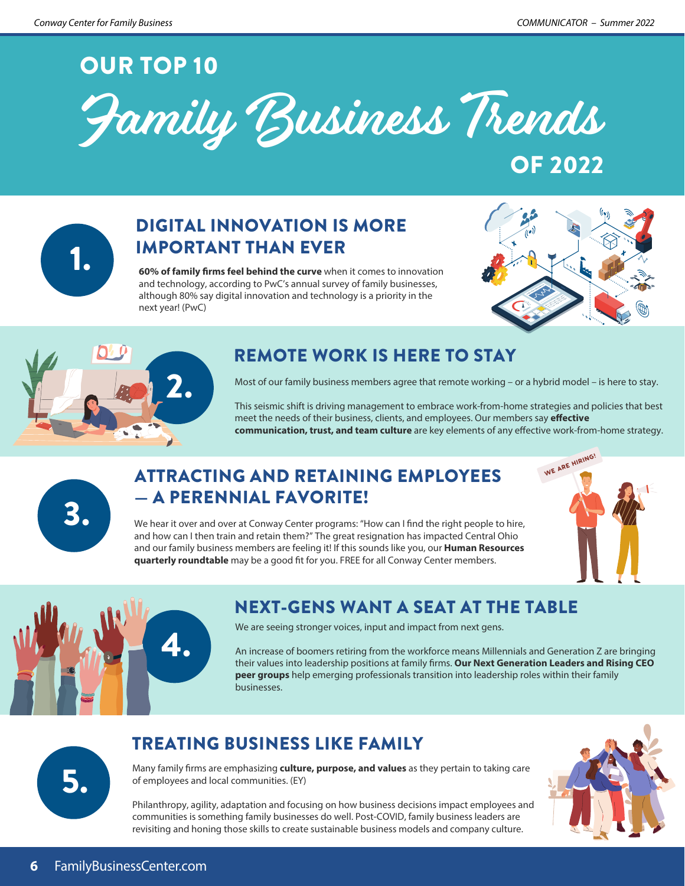# OUR TOP 10





# DIGITAL INNOVATION IS MORE **IMPORTANT THAN EVER**<br>1. **60% of family firms feel behind the curve** when it comes to innovation

and technology, according to PwC's annual survey of family businesses, although 80% say digital innovation and technology is a priority in the next year! (PwC)





# REMOTE WORK IS HERE TO STAY

Most of our family business members agree that remote working – or a hybrid model – is here to stay.

This seismic shift is driving management to embrace work-from-home strategies and policies that best meet the needs of their business, clients, and employees. Our members say *effective* **communication, trust, and team culture** are key elements of any effective work-from-home strategy.

# ATTRACTING AND RETAINING EMPLOYEES — A PERENNIAL FAVORITE!<br>We hear it over and over at Conway Center programs: "How can I find the right people to hire,





# NEXT-GENS WANT A SEAT AT THE TABLE

We are seeing stronger voices, input and impact from next gens.

An increase of boomers retiring from the workforce means Millennials and Generation Z are bringing their values into leadership positions at family firms. Our Next Generation Leaders and Rising CEO **peer groups** help emerging professionals transition into leadership roles within their family businesses.

## TREATING BUSINESS LIKE FAMILY

Many family firms are emphasizing **culture, purpose, and values** as they pertain to taking care of employees and local communities. (EY)



Philanthropy, agility, adaptation and focusing on how business decisions impact employees and communities is something family businesses do well. Post-COVID, family business leaders are revisiting and honing those skills to create sustainable business models and company culture.